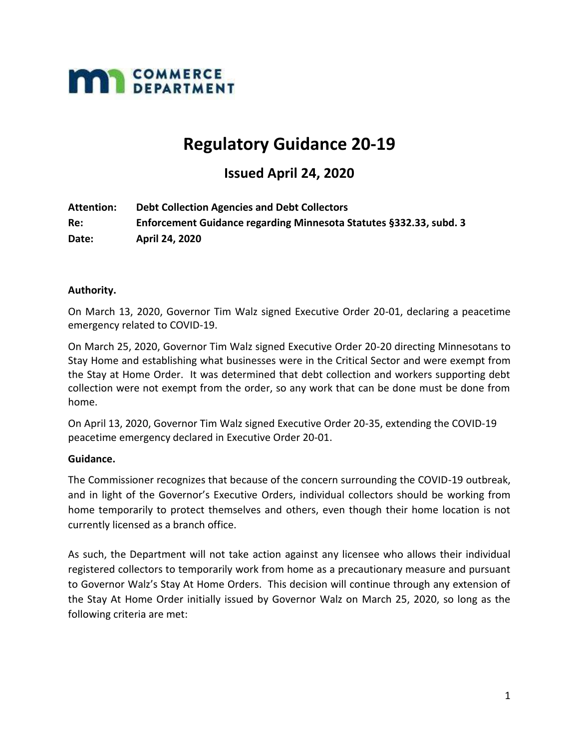

# **Regulatory Guidance 20-19**

# **Issued April 24, 2020**

**Attention: Debt Collection Agencies and Debt Collectors Re: Enforcement Guidance regarding Minnesota Statutes §332.33, subd. 3 Date: April 24, 2020**

#### **Authority.**

On March 13, 2020, Governor Tim Walz signed Executive Order 20-01, declaring a peacetime emergency related to COVID-19.

On March 25, 2020, Governor Tim Walz signed Executive Order 20-20 directing Minnesotans to Stay Home and establishing what businesses were in the Critical Sector and were exempt from the Stay at Home Order. It was determined that debt collection and workers supporting debt collection were not exempt from the order, so any work that can be done must be done from home.

On April 13, 2020, Governor Tim Walz signed Executive Order 20-35, extending the COVID-19 peacetime emergency declared in Executive Order 20-01.

#### **Guidance.**

The Commissioner recognizes that because of the concern surrounding the COVID-19 outbreak, and in light of the Governor's Executive Orders, individual collectors should be working from home temporarily to protect themselves and others, even though their home location is not currently licensed as a branch office.

As such, the Department will not take action against any licensee who allows their individual registered collectors to temporarily work from home as a precautionary measure and pursuant to Governor Walz's Stay At Home Orders. This decision will continue through any extension of the Stay At Home Order initially issued by Governor Walz on March 25, 2020, so long as the following criteria are met: